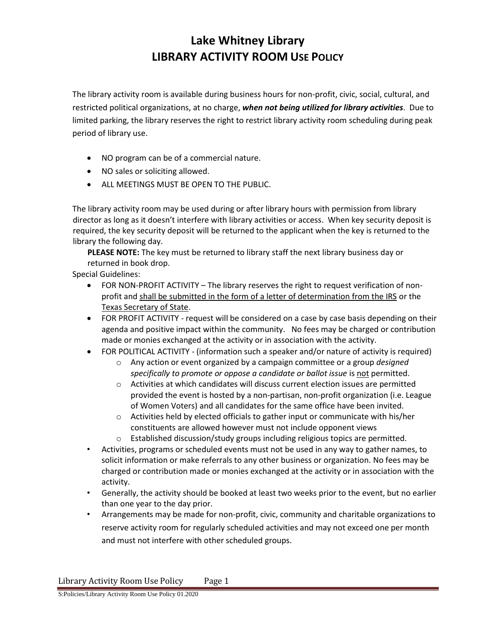# **Lake Whitney Library LIBRARY ACTIVITY ROOM USE POLICY**

The library activity room is available during business hours for non-profit, civic, social, cultural, and restricted political organizations, at no charge, *when not being utilized for library activities*. Due to limited parking, the library reserves the right to restrict library activity room scheduling during peak period of library use.

- NO program can be of a commercial nature.
- NO sales or soliciting allowed.
- ALL MEETINGS MUST BE OPEN TO THE PUBLIC.

The library activity room may be used during or after library hours with permission from library director as long as it doesn't interfere with library activities or access. When key security deposit is required, the key security deposit will be returned to the applicant when the key is returned to the library the following day.

**PLEASE NOTE:** The key must be returned to library staff the next library business day or returned in book drop.

Special Guidelines:

- FOR NON-PROFIT ACTIVITY The library reserves the right to request verification of nonprofit and shall be submitted in the form of a letter of determination from the IRS or the Texas Secretary of State.
- FOR PROFIT ACTIVITY request will be considered on a case by case basis depending on their agenda and positive impact within the community. No fees may be charged or contribution made or monies exchanged at the activity or in association with the activity.
- FOR POLITICAL ACTIVITY (information such a speaker and/or nature of activity is required)
	- o Any action or event organized by a campaign committee or a group *designed specifically to promote or oppose a candidate or ballot issue* is not permitted.
	- o Activities at which candidates will discuss current election issues are permitted provided the event is hosted by a non-partisan, non-profit organization (i.e. League of Women Voters) and all candidates for the same office have been invited.
	- o Activities held by elected officials to gather input or communicate with his/her constituents are allowed however must not include opponent views
	- o Established discussion/study groups including religious topics are permitted.
- Activities, programs or scheduled events must not be used in any way to gather names, to solicit information or make referrals to any other business or organization. No fees may be charged or contribution made or monies exchanged at the activity or in association with the activity.
- Generally, the activity should be booked at least two weeks prior to the event, but no earlier than one year to the day prior.
- Arrangements may be made for non-profit, civic, community and charitable organizations to reserve activity room for regularly scheduled activities and may not exceed one per month and must not interfere with other scheduled groups.

Library Activity Room Use Policy Page 1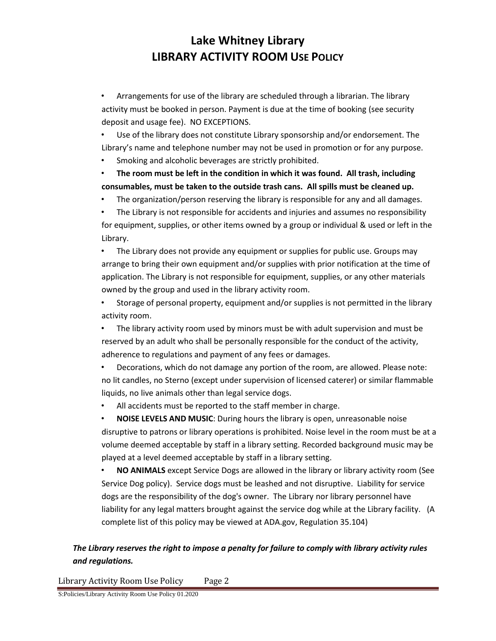### **Lake Whitney Library LIBRARY ACTIVITY ROOM USE POLICY**

• Arrangements for use of the library are scheduled through a librarian. The library activity must be booked in person. Payment is due at the time of booking (see security deposit and usage fee). NO EXCEPTIONS.

• Use of the library does not constitute Library sponsorship and/or endorsement. The Library's name and telephone number may not be used in promotion or for any purpose.

• Smoking and alcoholic beverages are strictly prohibited.

• **The room must be left in the condition in which it was found. All trash, including consumables, must be taken to the outside trash cans. All spills must be cleaned up.**

• The organization/person reserving the library is responsible for any and all damages.

• The Library is not responsible for accidents and injuries and assumes no responsibility for equipment, supplies, or other items owned by a group or individual & used or left in the Library.

• The Library does not provide any equipment or supplies for public use. Groups may arrange to bring their own equipment and/or supplies with prior notification at the time of application. The Library is not responsible for equipment, supplies, or any other materials owned by the group and used in the library activity room.

• Storage of personal property, equipment and/or supplies is not permitted in the library activity room.

• The library activity room used by minors must be with adult supervision and must be reserved by an adult who shall be personally responsible for the conduct of the activity, adherence to regulations and payment of any fees or damages.

• Decorations, which do not damage any portion of the room, are allowed. Please note: no lit candles, no Sterno (except under supervision of licensed caterer) or similar flammable liquids, no live animals other than legal service dogs.

• All accidents must be reported to the staff member in charge.

• **NOISE LEVELS AND MUSIC**: During hours the library is open, unreasonable noise disruptive to patrons or library operations is prohibited. Noise level in the room must be at a volume deemed acceptable by staff in a library setting. Recorded background music may be played at a level deemed acceptable by staff in a library setting.

• **NO ANIMALS** except Service Dogs are allowed in the library or library activity room (See Service Dog policy). Service dogs must be leashed and not disruptive. Liability for service dogs are the responsibility of the dog's owner. The Library nor library personnel have liability for any legal matters brought against the service dog while at the Library facility. (A complete list of this policy may be viewed at ADA.gov, Regulation 35.104)

### *The Library reserves the right to impose a penalty for failure to comply with library activity rules and regulations.*

Library Activity Room Use Policy Page 2